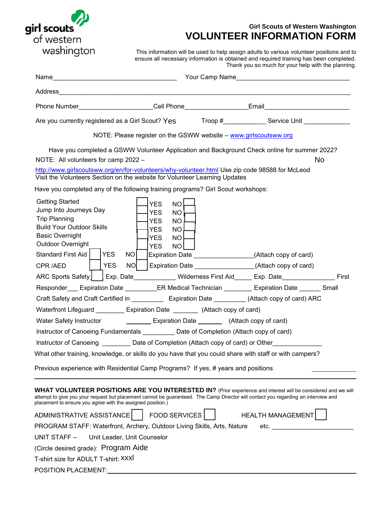

# **Girl Scouts of Western Washington VOLUNTEER INFORMATION FORM**

This information will be used to help assign adults to various volunteer positions and to ensure all necessary information is obtained and required training has been completed. Thank you so much for your help with the planning.

| Phone Number <b>Cell Phone Cell Phone Email</b>                                                                                                                                                                                                                                                                                                                                                                                                                                                                                                                                                                                                                                                                                                                                             |                                                                                                                                                        |                                                                                                                  |  |
|---------------------------------------------------------------------------------------------------------------------------------------------------------------------------------------------------------------------------------------------------------------------------------------------------------------------------------------------------------------------------------------------------------------------------------------------------------------------------------------------------------------------------------------------------------------------------------------------------------------------------------------------------------------------------------------------------------------------------------------------------------------------------------------------|--------------------------------------------------------------------------------------------------------------------------------------------------------|------------------------------------------------------------------------------------------------------------------|--|
| Are you currently registered as a Girl Scout? Yes Troop #_______________ Service Unit _____________                                                                                                                                                                                                                                                                                                                                                                                                                                                                                                                                                                                                                                                                                         |                                                                                                                                                        |                                                                                                                  |  |
|                                                                                                                                                                                                                                                                                                                                                                                                                                                                                                                                                                                                                                                                                                                                                                                             | NOTE: Please register on the GSWW website - www.girlscoutsww.org                                                                                       |                                                                                                                  |  |
| Have you completed a GSWW Volunteer Application and Background Check online for summer 2022?<br>NOTE: All volunteers for camp 2022 -<br>http://www.girlscoutsww.org/en/for-volunteers/why-volunteer.html Use zip code 98588 for McLeod<br>Visit the Volunteers Section on the website for Volunteer Learning Updates<br>Have you completed any of the following training programs? Girl Scout workshops:                                                                                                                                                                                                                                                                                                                                                                                    |                                                                                                                                                        | No                                                                                                               |  |
| <b>Getting Started</b><br>Jump Into Journeys Day<br><b>Trip Planning</b><br><b>Build Your Outdoor Skills</b><br><b>Basic Overnight</b><br>Outdoor Overnight<br>Standard First Aid<br><b>YES</b><br>NO <sub>1</sub><br><b>YES</b><br>NO L<br>CPR/AED                                                                                                                                                                                                                                                                                                                                                                                                                                                                                                                                         | <b>YES</b><br>NO<br>NO <sup>1</sup><br><b>YES</b><br><b>YES</b><br><b>NO</b><br><b>YES</b><br>NO.<br><b>YES</b><br>NO<br><b>YES</b><br>NO <sub>1</sub> | Expiration Date _________________(Attach copy of card)<br>Expiration Date _________________(Attach copy of card) |  |
| ARC Sports Safety   Exp. Date___________ Wilderness First Aid_____ Exp. Date_______________ First                                                                                                                                                                                                                                                                                                                                                                                                                                                                                                                                                                                                                                                                                           |                                                                                                                                                        |                                                                                                                  |  |
| Responder___ Expiration Date _________ER Medical Technician ________ Expiration Date ______ Small<br>Craft Safety and Craft Certified in ____________ Expiration Date _________ (Attach copy of card) ARC<br>Waterfront Lifeguard __________ Expiration Date _________ (Attach copy of card)<br>Water Safety Instructor ____________________ Expiration Date ___________ (Attach copy of card)<br>Instructor of Canoeing Fundamentals ___________ Date of Completion (Attach copy of card)<br>Instructor of Canoeing __________ Date of Completion (Attach copy of card) or Other___________<br>What other training, knowledge, or skills do you have that you could share with staff or with campers?<br>Previous experience with Residential Camp Programs? If yes, # years and positions |                                                                                                                                                        |                                                                                                                  |  |
|                                                                                                                                                                                                                                                                                                                                                                                                                                                                                                                                                                                                                                                                                                                                                                                             |                                                                                                                                                        |                                                                                                                  |  |
| WHAT VOLUNTEER POSITIONS ARE YOU INTERESTED IN? (Prior experience and interest will be considered and we will<br>attempt to give you your request but placement cannot be guaranteed. The Camp Director will contact you regarding an interview and<br>placement to ensure you agree with the assigned position.)<br>ADMINISTRATIVE ASSISTANCE<br>PROGRAM STAFF: Waterfront, Archery, Outdoor Living Skills, Arts, Nature<br>UNIT STAFF -<br>Unit Leader, Unit Counselor<br>(Circle desired grade): Program Aide<br>T-shirt size for ADULT T-shirt: XXXI                                                                                                                                                                                                                                    | <b>FOOD SERVICES</b>                                                                                                                                   | <b>HEALTH MANAGEMENT</b><br>etc.                                                                                 |  |
| POSITION PLACEMENT:                                                                                                                                                                                                                                                                                                                                                                                                                                                                                                                                                                                                                                                                                                                                                                         |                                                                                                                                                        |                                                                                                                  |  |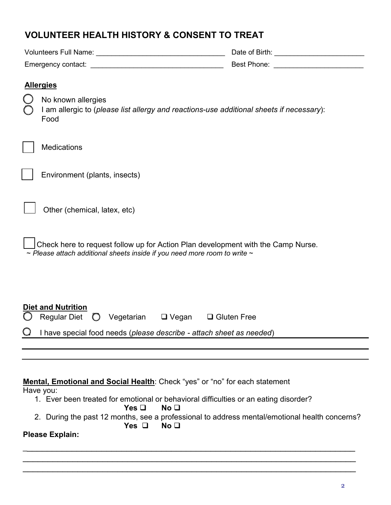| <b>VOLUNTEER HEALTH HISTORY &amp; CONSENT TO TREAT</b>                                                                                                                  |                                                                                                               |  |
|-------------------------------------------------------------------------------------------------------------------------------------------------------------------------|---------------------------------------------------------------------------------------------------------------|--|
|                                                                                                                                                                         |                                                                                                               |  |
|                                                                                                                                                                         | Best Phone: New York Phone State Communication of the Communication of the Communication of the Communication |  |
| <b>Allergies</b>                                                                                                                                                        |                                                                                                               |  |
| No known allergies<br>I am allergic to (please list allergy and reactions-use additional sheets if necessary):<br>Food                                                  |                                                                                                               |  |
| <b>Medications</b>                                                                                                                                                      |                                                                                                               |  |
| Environment (plants, insects)                                                                                                                                           |                                                                                                               |  |
| Other (chemical, latex, etc)                                                                                                                                            |                                                                                                               |  |
| Check here to request follow up for Action Plan development with the Camp Nurse.<br>$\sim$ Please attach additional sheets inside if you need more room to write $\sim$ |                                                                                                               |  |
| <b>Diet and Nutrition</b><br><b>Regular Diet</b><br>Vegetarian □ Vegan □ Gluten Free<br>$\bigcirc$                                                                      |                                                                                                               |  |
| I have special food needs (please describe - attach sheet as needed)                                                                                                    |                                                                                                               |  |

# **Mental, Emotional and Social Health**: Check "yes" or "no" for each statement

Have you:

- 1. Ever been treated for emotional or behavioral difficulties or an eating disorder?<br>
Yes  $\Box$  No  $\Box$ 
	- **Yes**  $\Box$
- 2. During the past 12 months, see a professional to address mental/emotional health concerns?<br>
Yes  $\Box$  No  $\Box$ **Yes**  $\Box$

\_\_\_\_\_\_\_\_\_\_\_\_\_\_\_\_\_\_\_\_\_\_\_\_\_\_\_\_\_\_\_\_\_\_\_\_\_\_\_\_\_\_\_\_\_\_\_\_\_\_\_\_\_\_\_\_\_\_\_\_\_\_\_\_\_\_\_  $\overline{a_1}$  , and the set of the set of the set of the set of the set of the set of the set of the set of the set of the set of the set of the set of the set of the set of the set of the set of the set of the set of the se  $\overline{a_1}$  , and the set of the set of the set of the set of the set of the set of the set of the set of the set of the set of the set of the set of the set of the set of the set of the set of the set of the set of the se

# **Please Explain:**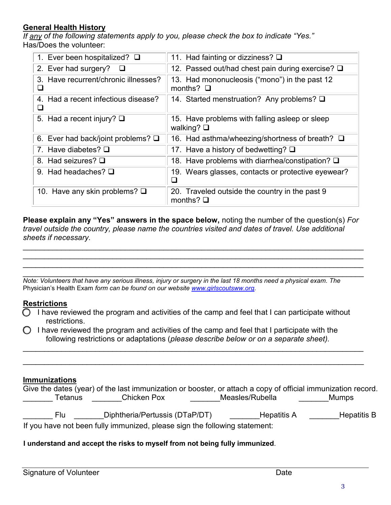# **General Health History**

*If any of the following statements apply to you, please check the box to indicate "Yes."*  Has/Does the volunteer:

| 1. Ever been hospitalized? $\square$       | 11. Had fainting or dizziness? $\square$                             |
|--------------------------------------------|----------------------------------------------------------------------|
| 2. Ever had surgery?<br><b>Q</b>           | 12. Passed out/had chest pain during exercise? Q                     |
| 3. Have recurrent/chronic illnesses?       | 13. Had mononucleosis ("mono") in the past 12<br>months? $\Box$      |
| 4. Had a recent infectious disease?        | 14. Started menstruation? Any problems? $\square$                    |
| 5. Had a recent injury? $\Box$             | 15. Have problems with falling asleep or sleep<br>walking? $\square$ |
| 6. Ever had back/joint problems? $\square$ | 16. Had asthma/wheezing/shortness of breath? □                       |
| 7. Have diabetes? $\square$                | 17. Have a history of bedwetting? $\square$                          |
| 8. Had seizures? $\square$                 | 18. Have problems with diarrhea/constipation? Q                      |
| 9. Had headaches? $\Box$                   | 19. Wears glasses, contacts or protective eyewear?                   |
| 10. Have any skin problems? $\square$      | 20. Traveled outside the country in the past 9<br>months? $\Box$     |

**Please explain any "Yes" answers in the space below,** noting the number of the question(s) *For travel outside the country, please name the countries visited and dates of travel. Use additional sheets if necessary.*

\_\_\_\_\_\_\_\_\_\_\_\_\_\_\_\_\_\_\_\_\_\_\_\_\_\_\_\_\_\_\_\_\_\_\_\_\_\_\_\_\_\_\_\_\_\_\_\_\_\_\_\_\_\_\_\_\_\_\_\_\_\_\_\_\_\_\_\_\_\_\_\_\_\_\_\_\_\_\_\_ \_\_\_\_\_\_\_\_\_\_\_\_\_\_\_\_\_\_\_\_\_\_\_\_\_\_\_\_\_\_\_\_\_\_\_\_\_\_\_\_\_\_\_\_\_\_\_\_\_\_\_\_\_\_\_\_\_\_\_\_\_\_\_\_\_\_\_\_\_\_\_\_\_\_\_\_\_\_\_\_  $\mathcal{L}_\text{max}$  and the contribution of the contribution of the contribution of the contribution of the contribution of the contribution of the contribution of the contribution of the contribution of the contribution of the

 $\mathcal{L} = \{ \mathcal{L} = \{ \mathcal{L} = \mathcal{L} \} \cup \{ \mathcal{L} = \{ \mathcal{L} = \mathcal{L} \} \cup \{ \mathcal{L} = \{ \mathcal{L} = \mathcal{L} \} \cup \{ \mathcal{L} = \{ \mathcal{L} = \mathcal{L} \} \cup \{ \mathcal{L} = \{ \mathcal{L} = \mathcal{L} \} \cup \{ \mathcal{L} = \{ \mathcal{L} = \mathcal{L} \} \cup \{ \mathcal{L} = \{ \mathcal{L} = \mathcal{L} \} \cup \{ \mathcal{L} = \{ \mathcal{L}$ *Note: Volunteers that have any serious illness, injury or surgery in the last 18 months need a physical exam. The*  Physician's Health Exam *form can be found on our website [www.girlscoutsww.org.](http://www.girlscoutsww.org/)* 

### **Restrictions**

 $\bigcirc$  I have reviewed the program and activities of the camp and feel that I can participate without restrictions.

\_\_\_\_\_\_\_\_\_\_\_\_\_\_\_\_\_\_\_\_\_\_\_\_\_\_\_\_\_\_\_\_\_\_\_\_\_\_\_\_\_\_\_\_\_\_\_\_\_\_\_\_\_\_\_\_\_\_\_\_\_\_\_\_\_\_\_\_\_\_\_\_\_\_\_\_\_\_\_\_

\_\_\_\_\_\_\_\_\_\_\_\_\_\_\_\_\_\_\_\_\_\_\_\_\_\_\_\_\_\_\_\_\_\_\_\_\_\_\_\_\_\_\_\_\_\_\_\_\_\_\_\_\_\_\_\_\_\_\_\_\_\_\_\_\_\_\_\_\_\_\_\_\_\_\_\_\_\_\_\_

 $\bigcirc$  I have reviewed the program and activities of the camp and feel that I participate with the following restrictions or adaptations (*please describe below or on a separate sheet).* 

## **Immunizations**

|                                                                            | Give the dates (year) of the last immunization or booster, or attach a copy of official immunization record. |                 |                    |
|----------------------------------------------------------------------------|--------------------------------------------------------------------------------------------------------------|-----------------|--------------------|
| Tetanus                                                                    | Chicken Pox                                                                                                  | Measles/Rubella | <b>Mumps</b>       |
|                                                                            |                                                                                                              |                 |                    |
| Flu.                                                                       | Diphtheria/Pertussis (DTaP/DT)                                                                               | Hepatitis A     | <b>Hepatitis B</b> |
| If you have not been fully immunized, please sign the following statement: |                                                                                                              |                 |                    |

**I understand and accept the risks to myself from not being fully immunized**.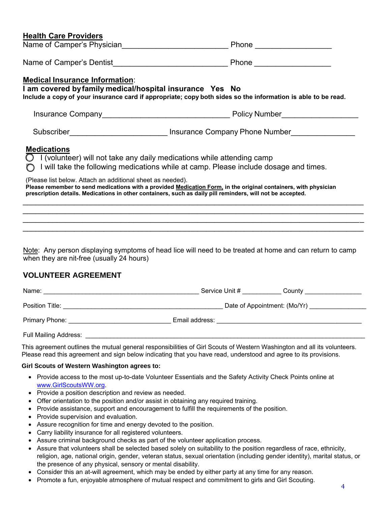|  | <b>Health Care Providers</b> |
|--|------------------------------|
|  |                              |

|                                                                                                                                                                                                                                                                                                                                                                                                                                                                                                           | Phone ___________________                                                                                |
|-----------------------------------------------------------------------------------------------------------------------------------------------------------------------------------------------------------------------------------------------------------------------------------------------------------------------------------------------------------------------------------------------------------------------------------------------------------------------------------------------------------|----------------------------------------------------------------------------------------------------------|
|                                                                                                                                                                                                                                                                                                                                                                                                                                                                                                           |                                                                                                          |
| <b>Medical Insurance Information:</b><br>I am covered by family medical/hospital insurance Yes No<br>Include a copy of your insurance card if appropriate; copy both sides so the information is able to be read.                                                                                                                                                                                                                                                                                         |                                                                                                          |
|                                                                                                                                                                                                                                                                                                                                                                                                                                                                                                           |                                                                                                          |
|                                                                                                                                                                                                                                                                                                                                                                                                                                                                                                           |                                                                                                          |
| <b>Medications</b><br>$\bigcirc$ I (volunteer) will not take any daily medications while attending camp<br>$\bigcap$ I will take the following medications while at camp. Please include dosage and times.<br>(Please list below. Attach an additional sheet as needed).<br>Please remember to send medications with a provided Medication Form, in the original containers, with physician<br>prescription details. Medications in other containers, such as daily pill reminders, will not be accepted. |                                                                                                          |
|                                                                                                                                                                                                                                                                                                                                                                                                                                                                                                           | ,我们也不会有什么。""我们的人,我们也不会有什么?""我们的人,我们也不会有什么?""我们的人,我们也不会有什么?""我们的人,我们也不会有什么?""我们的人                         |
| when they are nit-free (usually 24 hours)                                                                                                                                                                                                                                                                                                                                                                                                                                                                 | Note: Any person displaying symptoms of head lice will need to be treated at home and can return to camp |

### **VOLUNTEER AGREEMENT**

| Name:                                      | Service Unit #<br>County     |
|--------------------------------------------|------------------------------|
| Position Title: <u>___________________</u> | Date of Appointment: (Mo/Yr) |
| Primary Phone:                             | Email address:               |
| <b>Full Mailing Address:</b>               |                              |

This agreement outlines the mutual general responsibilities of Girl Scouts of Western Washington and all its volunteers. Please read this agreement and sign below indicating that you have read, understood and agree to its provisions.

#### **Girl Scouts of Western Washington agrees to:**

- Provide access to the most up-to-date Volunteer Essentials and the Safety Activity Check Points online at www.GirlScoutsWW.org.
- Provide a position description and review as needed.
- Offer orientation to the position and/or assist in obtaining any required training.
- Provide assistance, support and encouragement to fulfill the requirements of the position.
- Provide supervision and evaluation.
- Assure recognition for time and energy devoted to the position.
- Carry liability insurance for all registered volunteers.
- Assure criminal background checks as part of the volunteer application process.
- Assure that volunteers shall be selected based solely on suitability to the position regardless of race, ethnicity, religion, age, national origin, gender, veteran status, sexual orientation (including gender identity), marital status, or the presence of any physical, sensory or mental disability.
- Consider this an at-will agreement, which may be ended by either party at any time for any reason.
- Promote a fun, enjoyable atmosphere of mutual respect and commitment to girls and Girl Scouting.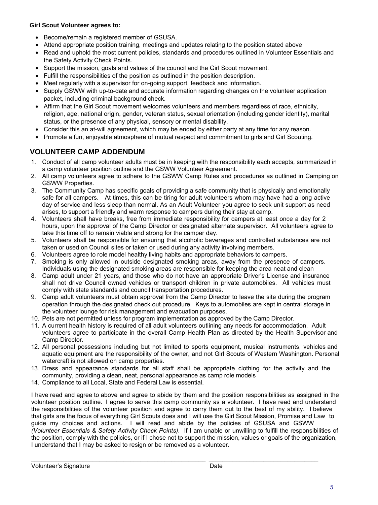### **Girl Scout Volunteer agrees to:**

- Become/remain a registered member of GSUSA.
- Attend appropriate position training, meetings and updates relating to the position stated above
- Read and uphold the most current policies, standards and procedures outlined in Volunteer Essentials and the Safety Activity Check Points.
- Support the mission, goals and values of the council and the Girl Scout movement.
- Fulfill the responsibilities of the position as outlined in the position description.
- Meet regularly with a supervisor for on-going support, feedback and information.
- Supply GSWW with up-to-date and accurate information regarding changes on the volunteer application packet, including criminal background check.
- Affirm that the Girl Scout movement welcomes volunteers and members regardless of race, ethnicity, religion, age, national origin, gender, veteran status, sexual orientation (including gender identity), marital status, or the presence of any physical, sensory or mental disability.
- Consider this an at-will agreement, which may be ended by either party at any time for any reason.
- Promote a fun, enjoyable atmosphere of mutual respect and commitment to girls and Girl Scouting.

# **VOLUNTEER CAMP ADDENDUM**

- 1. Conduct of all camp volunteer adults must be in keeping with the responsibility each accepts, summarized in [a camp volunteer position](http://www.girlscoutsww.org/) outline and the GSWW Volunteer Agreement.
- 2. All camp volunteers agree to adhere to the GSWW Camp Rules and procedures as outlined in Camping on GSWW Properties.
- 3. The Community Camp has specific goals of providing a safe community that is physically and emotionally safe for all campers. At times, this can be tiring for adult volunteers whom may have had a long active day of service and less sleep than normal. As an Adult Volunteer you agree to seek unit support as need arises, to support a friendly and warm response to campers during their stay at camp.
- 4. Volunteers shall have breaks, free from immediate responsibility for campers at least once a day for 2 hours, upon the approval of the Camp Director or designated alternate supervisor. All volunteers agree to take this time off to remain viable and strong for the camper day.
- 5. Volunteers shall be responsible for ensuring that alcoholic beverages and controlled substances are not taken or used on Council sites or taken or used during any activity involving members.
- 6. Volunteers agree to role model healthy living habits and appropriate behaviors to campers.
- 7. Smoking is only allowed in outside designated smoking areas, away from the presence of campers. Individuals using the designated smoking areas are responsible for keeping the area neat and clean
- 8. Camp adult under 21 years, and those who do not have an appropriate Driver's License and insurance shall not drive Council owned vehicles or transport children in private automobiles. All vehicles must comply with state standards and council transportation procedures.
- 9. Camp adult volunteers must obtain approval from the Camp Director to leave the site during the program operation through the designated check out procedure. Keys to automobiles are kept in central storage in the volunteer lounge for risk management and evacuation purposes.
- 10. Pets are not permitted unless for program implementation as approved by the Camp Director.
- 11. A current health history is required of all adult volunteers outlining any needs for accommodation. Adult volunteers agree to participate in the overall Camp Health Plan as directed by the Health Supervisor and Camp Director.
- 12. All personal possessions including but not limited to sports equipment, musical instruments, vehicles and aquatic equipment are the responsibility of the owner, and not Girl Scouts of Western Washington. Personal watercraft is not allowed on camp properties.
- 13. Dress and appearance standards for all staff shall be appropriate clothing for the activity and the community, providing a clean, neat, personal appearance as camp role models
- 14. Compliance to all Local, State and Federal Law is essential.

I have read and agree to above and agree to abide by them and the position responsibilities as assigned in the volunteer position outline. I agree to serve this camp community as a volunteer. I have read and understand the responsibilities of the volunteer position and agree to carry them out to the best of my ability. I believe that girls are the focus of everything Girl Scouts does and I will use the Girl Scout Mission, Promise and Law to guide my choices and actions. I will read and abide by the policies of GSUSA and GSWW *(Volunteer Essentials & Safety Activity Check Points)*. If I am unable or unwilling to fulfill the responsibilities of the position, comply with the policies, or if I chose not to support the mission, values or goals of the organization, I understand that I may be asked to resign or be removed as a volunteer.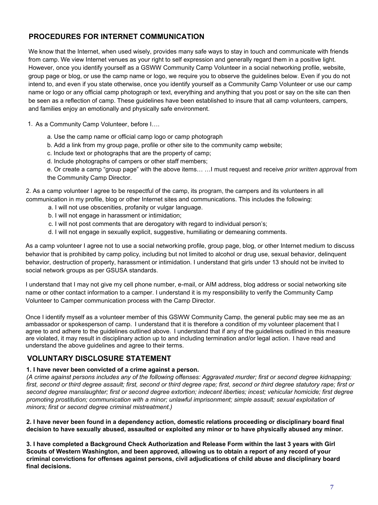# **PROCEDURES FOR INTERNET COMMUNICATION**

We know that the Internet, when used wisely, provides many safe ways to stay in touch and communicate with friends from camp. We view Internet venues as your right to self expression and generally regard them in a positive light. However, once you identify yourself as a GSWW Community Camp Volunteer in a social networking profile, website, group page or blog, or use the camp name or logo, we require you to observe the guidelines below. Even if you do not intend to, and even if you state otherwise, once you identify yourself as a Community Camp Volunteer or use our camp name or logo or any official camp photograph or text, everything and anything that you post or say on the site can then be seen as a reflection of camp. These guidelines have been established to insure that all camp volunteers, campers, and families enjoy an emotionally and physically safe environment.

1. As a Community Camp Volunteer, before I….

- a. Use the camp name or official camp logo or camp photograph
- b. Add a link from my group page, profile or other site to the community camp website;
- c. Include text or photographs that are the property of camp;
- d. Include photographs of campers or other staff members;

e. Or create a camp "group page" with the above items… …I must request and receive *prior written approval* from the Community Camp Director.

2. As a camp volunteer I agree to be respectful of the camp, its program, the campers and its volunteers in all communication in my profile, blog or other Internet sites and communications. This includes the following:

- a. I will not use obscenities, profanity or vulgar language.
- b. I will not engage in harassment or intimidation;
- c. I will not post comments that are derogatory with regard to individual person's;
- d. I will not engage in sexually explicit, suggestive, humiliating or demeaning comments.

As a camp volunteer I agree not to use a social networking profile, group page, blog, or other Internet medium to discuss behavior that is prohibited by camp policy, including but not limited to alcohol or drug use, sexual behavior, delinquent behavior, destruction of property, harassment or intimidation. I understand that girls under 13 should not be invited to social network groups as per GSUSA standards.

I understand that I may not give my cell phone number, e-mail, or AIM address, blog address or social networking site name or other contact information to a camper. I understand it is my responsibility to verify the Community Camp Volunteer to Camper communication process with the Camp Director.

Once I identify myself as a volunteer member of this GSWW Community Camp, the general public may see me as an ambassador or spokesperson of camp. I understand that it is therefore a condition of my volunteer placement that I agree to and adhere to the guidelines outlined above. I understand that if any of the guidelines outlined in this measure are violated, it may result in disciplinary action up to and including termination and/or legal action. I have read and understand the above guidelines and agree to their terms.

### **VOLUNTARY DISCLOSURE STATEMENT**

#### **1. I have never been convicted of a crime against a person.**

*(A crime against persons includes any of the following offenses: Aggravated murder; first or second degree kidnapping; first, second or third degree assault; first, second or third degree rape; first, second or third degree statutory rape; first or second degree manslaughter; first or second degree extortion; indecent liberties; incest; vehicular homicide; first degree promoting prostitution; communication with a minor; unlawful imprisonment; simple assault; sexual exploitation of minors; first or second degree criminal mistreatment.)*

**2. I have never been found in a dependency action, domestic relations proceeding or disciplinary board final decision to have sexually abused, assaulted or exploited any minor or to have physically abused any minor.**

**3. I have completed a Background Check Authorization and Release Form within the last 3 years with Girl Scouts of Western Washington, and been approved, allowing us to obtain a report of any record of your criminal convictions for offenses against persons, civil adjudications of child abuse and disciplinary board final decisions.**